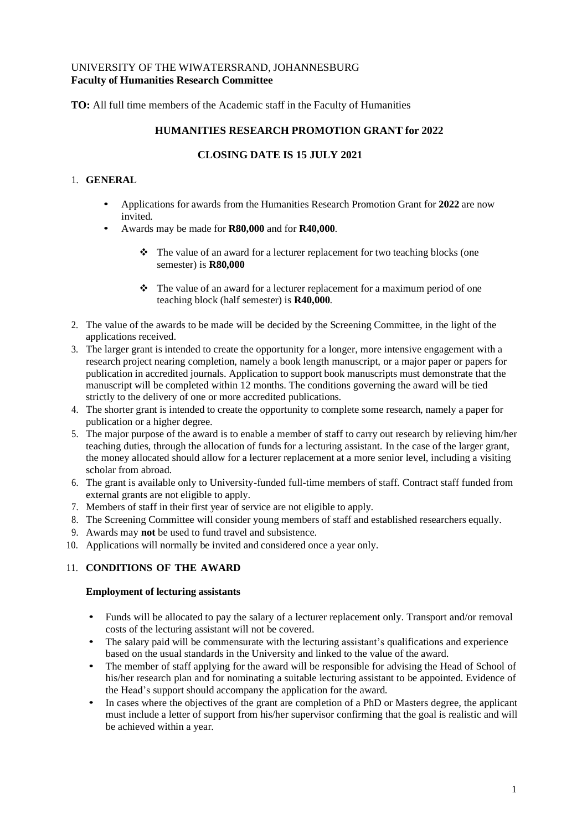## UNIVERSITY OF THE WIWATERSRAND, JOHANNESBURG **Faculty of Humanities Research Committee**

**TO:** All full time members of the Academic staff in the Faculty of Humanities

## **HUMANITIES RESEARCH PROMOTION GRANT for 2022**

# **CLOSING DATE IS 15 JULY 2021**

## 1. **GENERAL**

- Applications for awards from the Humanities Research Promotion Grant for **2022** are now invited.
- Awards may be made for **R80,000** and for **R40,000**.
	- ❖ The value of an award for a lecturer replacement for two teaching blocks (one semester) is **R80,000**
	- ❖ The value of an award for a lecturer replacement for a maximum period of one teaching block (half semester) is **R40,000**.
- 2. The value of the awards to be made will be decided by the Screening Committee, in the light of the applications received.
- 3. The larger grant is intended to create the opportunity for a longer, more intensive engagement with a research project nearing completion, namely a book length manuscript, or a major paper or papers for publication in accredited journals. Application to support book manuscripts must demonstrate that the manuscript will be completed within 12 months. The conditions governing the award will be tied strictly to the delivery of one or more accredited publications.
- 4. The shorter grant is intended to create the opportunity to complete some research, namely a paper for publication or a higher degree.
- 5. The major purpose of the award is to enable a member of staff to carry out research by relieving him/her teaching duties, through the allocation of funds for a lecturing assistant. In the case of the larger grant, the money allocated should allow for a lecturer replacement at a more senior level, including a visiting scholar from abroad.
- 6. The grant is available only to University-funded full-time members of staff. Contract staff funded from external grants are not eligible to apply.
- 7. Members of staff in their first year of service are not eligible to apply.
- 8. The Screening Committee will consider young members of staff and established researchers equally.
- 9. Awards may **not** be used to fund travel and subsistence.
- 10. Applications will normally be invited and considered once a year only.

# 11. **CONDITIONS OF THE AWARD**

#### **Employment of lecturing assistants**

- Funds will be allocated to pay the salary of a lecturer replacement only. Transport and/or removal costs of the lecturing assistant will not be covered.
- The salary paid will be commensurate with the lecturing assistant's qualifications and experience based on the usual standards in the University and linked to the value of the award.
- The member of staff applying for the award will be responsible for advising the Head of School of his/her research plan and for nominating a suitable lecturing assistant to be appointed. Evidence of the Head's support should accompany the application for the award.
- In cases where the objectives of the grant are completion of a PhD or Masters degree, the applicant must include a letter of support from his/her supervisor confirming that the goal is realistic and will be achieved within a year.